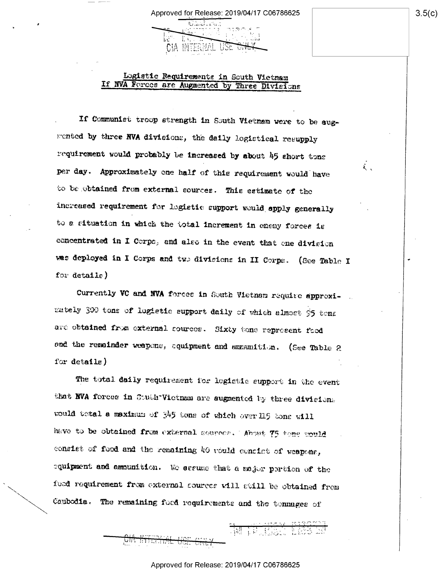## Logistic Requirements in South Vietnam If NVA Forces are Augmented by Three Divisions

**CIA INTERNAL** 

If Communist troop strength in South Vietnam were to be augmented by three NVA divisions, the daily logistical resupply requirement would probably be increased by about 45 short tons per day. Approximately one half of this requirement would have to be obtained from external sources. This estimate of the increased requirement for logistic support would apply generally to a situation in which the total increment in enemy forces is concentrated in I Corps, and also in the event that one division was deployed in I Corps and two divisions in II Corps. (See Table I for detaile)

Currently VC and NVA forces in South Vietnam require approximately 300 tons of logistic support daily of which almost 95 tens are obtained from external cources. Sixty tons represent food and the remainder weapons, squipment and annunition. (See Table 2 for  $delta1$ e $)$ 

The total daily requirement for logistic support in the event that NVA forces in Couth-Victnam are sugmented by three divisions would betal a maximum of  $345$  tons of which over 115 tons will have to be obtained from external sources. About 75 tone would consist of food and the remaining 40 vould concirt of weapons, equipment and amounition. We secure that a major pertion of the food requirement from external sources will still be obtained from Combodia. The remaining food requirements and the tennages of

<u>UM MILITAR USI</u>

n Harristan (1987)

 $3.5(c)$ 

i.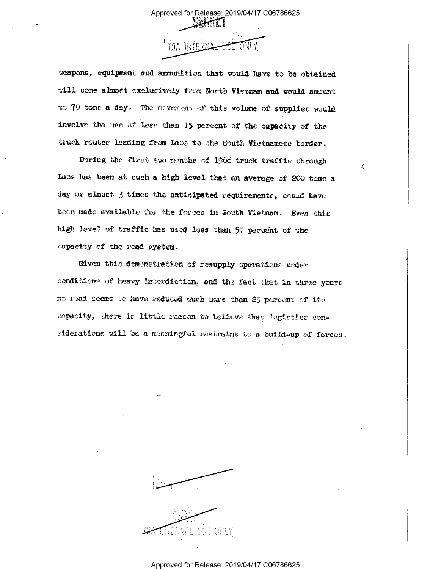Approved for Release: 2019/04/17 C06786625

ż.

weapone, equipment and ammunition that would have to be obtained will come almost exclusively from North Vietnam and would amount to 70 tons a day. The movement of this volume of supplies would involve the use of less than 15 percent of the capacity of the truck routee leading from lace to the South Victnamese border.

During the first two months of 1968 truck traffic through Luos has been at such a high level that an average of 200 tons a day or almost 3 times the anticipated requirements, could have been made available for the forces in South Vietnam. Even this high level of traffic has used less than 50 percent of the capacity of the read system.

Given this demenstration of resupply operations under conditions of heavy interdiction, and the fact that in three years no road seems to have reduced much more than 25 percent of its espacity, there is little reason to believe that logistics considerations will be a meaningful restraint to a build-up of forces.

#### Approved for Release: 2019/04/17 C06786625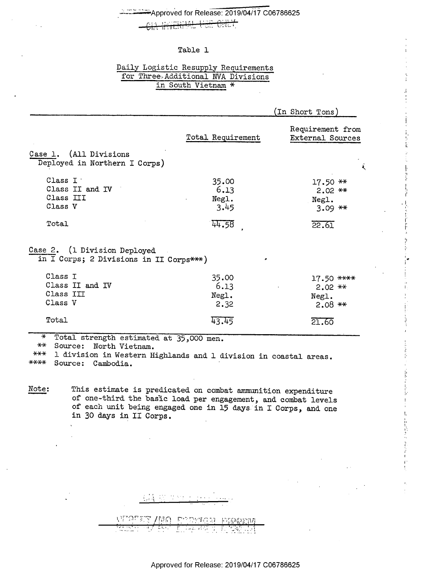# Approved for Release: 2019/04/17 C06786625

 $\theta$ idi  $\tau$ 

#### Table 1

## Daily Logistic Resupply Requirements for Three-Additional NVA Divisions in South Vietnam \*

|                                                                         |                                | (In Short Tons)                                   |
|-------------------------------------------------------------------------|--------------------------------|---------------------------------------------------|
|                                                                         | Total Requirement              | Requirement from<br>External Sources              |
| Case 1. (All Divisions<br>Deployed in Northern I Corps)                 |                                |                                                   |
| Class I .<br>Class II and IV<br>Class III<br>Class V                    | 35.00<br>6.13<br>Negl.<br>3.45 | $17.50**$<br>$2.02$ **<br>Negl.<br>$3.09$ **      |
| Total                                                                   | 44.58                          | 22.61                                             |
| Case 2. (1 Division Deployed<br>in I Corps; 2 Divisions in II Corps***) | ø                              |                                                   |
| Class I<br>Class II and IV<br>Class III<br>Class V                      | 35.00<br>6.13<br>Negl.<br>2.32 | $17.50$ ****<br>$2.02$ $**$<br>Negl.<br>$2.08$ ** |
| Total                                                                   | 43.45                          | 21.60                                             |

\* Total strength estimated at 35,000 men.

 $**$ Source: North Vietnam.

1 division in Western Highlands and 1 division in coastal areas.  $***$ \*\*\*\* Source: Cambodia.

This estimate is predicated on combat ammunition expenditure Note: of one-third the basic load per engagement, and combat levels of each unit being engaged one in 15 days in I Corps, and one in 30 days in II Corps.

| $\mathcal{L}^{\mathcal{L}}(\mathcal{L}^{\mathcal{L}})$ , where $\mathcal{L}^{\mathcal{L}}(\mathcal{L}^{\mathcal{L}})$ |                                    |
|-----------------------------------------------------------------------------------------------------------------------|------------------------------------|
|                                                                                                                       | <br>٠.                             |
|                                                                                                                       | VIRTET /NA CORFOR PIQQIN           |
| <b>CONTRACTOR</b><br>                                                                                                 | 5. <del>.</del><br>$\cdot$ $\cdot$ |